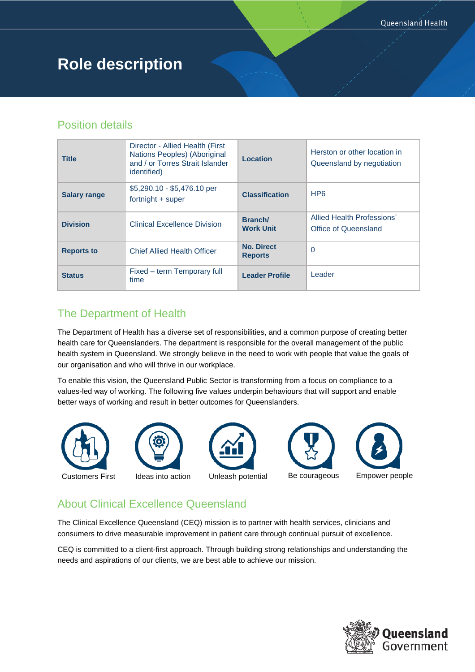# **Role description**

### Position details

| <b>Title</b>        | Director - Allied Health (First)<br>Nations Peoples) (Aboriginal<br>and / or Torres Strait Islander<br><i>identified</i> ) | Location                            | Herston or other location in<br>Queensland by negotiation |
|---------------------|----------------------------------------------------------------------------------------------------------------------------|-------------------------------------|-----------------------------------------------------------|
| <b>Salary range</b> | \$5,290.10 - \$5,476.10 per<br>fortnight + super                                                                           | <b>Classification</b>               | HP <sub>6</sub>                                           |
| <b>Division</b>     | Clinical Excellence Division                                                                                               | Branch/<br><b>Work Unit</b>         | Allied Health Professions'<br>Office of Queensland        |
| <b>Reports to</b>   | <b>Chief Allied Health Officer</b>                                                                                         | <b>No. Direct</b><br><b>Reports</b> | $\Omega$                                                  |
| <b>Status</b>       | Fixed – term Temporary full<br>time                                                                                        | <b>Leader Profile</b>               | Leader                                                    |

## The Department of Health

The Department of Health has a diverse set of responsibilities, and a common purpose of creating better health care for Queenslanders. The department is responsible for the overall management of the public health system in Queensland. We strongly believe in the need to work with people that value the goals of our organisation and who will thrive in our workplace.

To enable this vision, the Queensland Public Sector is transforming from a focus on compliance to a values-led way of working. The following five values underpin behaviours that will support and enable better ways of working and result in better outcomes for Queenslanders.







# About Clinical Excellence Queensland

The Clinical Excellence Queensland (CEQ) mission is to partner with health services, clinicians and consumers to drive measurable improvement in patient care through continual pursuit of excellence.

CEQ is committed to a client-first approach. Through building strong relationships and understanding the needs and aspirations of our clients, we are best able to achieve our mission.

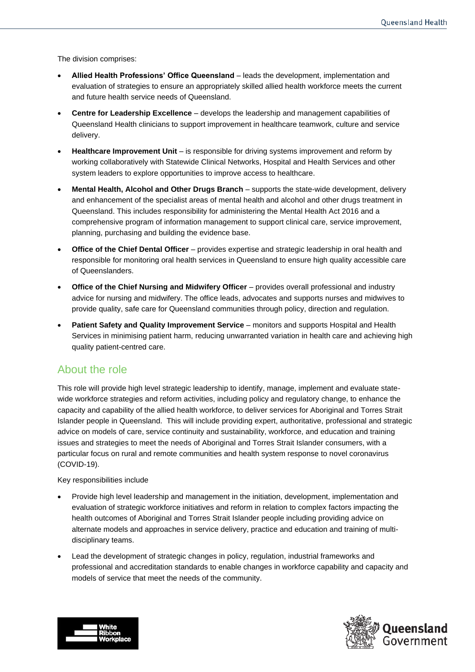The division comprises:

- **Allied Health Professions' Office Queensland** leads the development, implementation and evaluation of strategies to ensure an appropriately skilled allied health workforce meets the current and future health service needs of Queensland.
- **Centre for Leadership Excellence** develops the leadership and management capabilities of Queensland Health clinicians to support improvement in healthcare teamwork, culture and service delivery.
- **Healthcare Improvement Unit** is responsible for driving systems improvement and reform by working collaboratively with Statewide Clinical Networks, Hospital and Health Services and other system leaders to explore opportunities to improve access to healthcare.
- **Mental Health, Alcohol and Other Drugs Branch** supports the state-wide development, delivery and enhancement of the specialist areas of mental health and alcohol and other drugs treatment in Queensland. This includes responsibility for administering the Mental Health Act 2016 and a comprehensive program of information management to support clinical care, service improvement, planning, purchasing and building the evidence base.
- **Office of the Chief Dental Officer** provides expertise and strategic leadership in oral health and responsible for monitoring oral health services in Queensland to ensure high quality accessible care of Queenslanders.
- **Office of the Chief Nursing and Midwifery Officer** provides overall professional and industry advice for nursing and midwifery. The office leads, advocates and supports nurses and midwives to provide quality, safe care for Queensland communities through policy, direction and regulation.
- **Patient Safety and Quality Improvement Service** monitors and supports Hospital and Health Services in minimising patient harm, reducing unwarranted variation in health care and achieving high quality patient-centred care.

### About the role

This role will provide high level strategic leadership to identify, manage, implement and evaluate statewide workforce strategies and reform activities, including policy and regulatory change, to enhance the capacity and capability of the allied health workforce, to deliver services for Aboriginal and Torres Strait Islander people in Queensland. This will include providing expert, authoritative, professional and strategic advice on models of care, service continuity and sustainability, workforce, and education and training issues and strategies to meet the needs of Aboriginal and Torres Strait Islander consumers, with a particular focus on rural and remote communities and health system response to novel coronavirus (COVID-19).

#### Key responsibilities include

- Provide high level leadership and management in the initiation, development, implementation and evaluation of strategic workforce initiatives and reform in relation to complex factors impacting the health outcomes of Aboriginal and Torres Strait Islander people including providing advice on alternate models and approaches in service delivery, practice and education and training of multidisciplinary teams.
- Lead the development of strategic changes in policy, regulation, industrial frameworks and professional and accreditation standards to enable changes in workforce capability and capacity and models of service that meet the needs of the community.



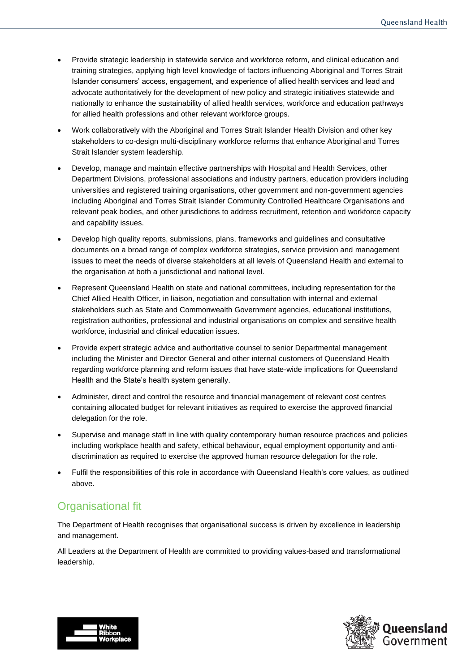- Provide strategic leadership in statewide service and workforce reform, and clinical education and training strategies, applying high level knowledge of factors influencing Aboriginal and Torres Strait Islander consumers' access, engagement, and experience of allied health services and lead and advocate authoritatively for the development of new policy and strategic initiatives statewide and nationally to enhance the sustainability of allied health services, workforce and education pathways for allied health professions and other relevant workforce groups.
- Work collaboratively with the Aboriginal and Torres Strait Islander Health Division and other key stakeholders to co-design multi-disciplinary workforce reforms that enhance Aboriginal and Torres Strait Islander system leadership.
- Develop, manage and maintain effective partnerships with Hospital and Health Services, other Department Divisions, professional associations and industry partners, education providers including universities and registered training organisations, other government and non-government agencies including Aboriginal and Torres Strait Islander Community Controlled Healthcare Organisations and relevant peak bodies, and other jurisdictions to address recruitment, retention and workforce capacity and capability issues.
- Develop high quality reports, submissions, plans, frameworks and guidelines and consultative documents on a broad range of complex workforce strategies, service provision and management issues to meet the needs of diverse stakeholders at all levels of Queensland Health and external to the organisation at both a jurisdictional and national level.
- Represent Queensland Health on state and national committees, including representation for the Chief Allied Health Officer, in liaison, negotiation and consultation with internal and external stakeholders such as State and Commonwealth Government agencies, educational institutions, registration authorities, professional and industrial organisations on complex and sensitive health workforce, industrial and clinical education issues.
- Provide expert strategic advice and authoritative counsel to senior Departmental management including the Minister and Director General and other internal customers of Queensland Health regarding workforce planning and reform issues that have state-wide implications for Queensland Health and the State's health system generally.
- Administer, direct and control the resource and financial management of relevant cost centres containing allocated budget for relevant initiatives as required to exercise the approved financial delegation for the role.
- Supervise and manage staff in line with quality contemporary human resource practices and policies including workplace health and safety, ethical behaviour, equal employment opportunity and antidiscrimination as required to exercise the approved human resource delegation for the role.
- Fulfil the responsibilities of this role in accordance with Queensland Health's core values, as outlined above.

# Organisational fit

The Department of Health recognises that organisational success is driven by excellence in leadership and management.

All Leaders at the Department of Health are committed to providing values-based and transformational leadership.



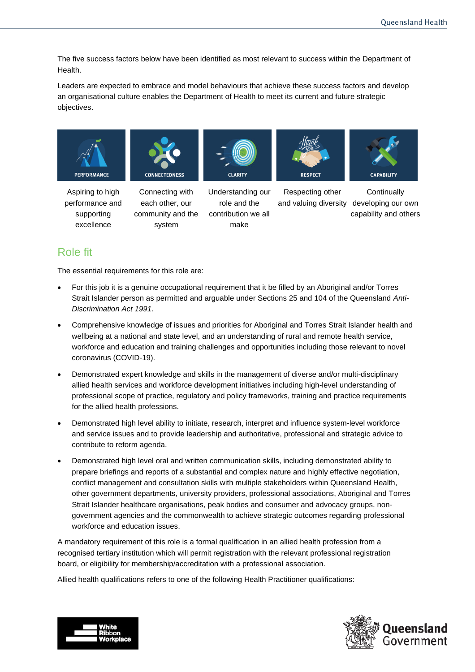The five success factors below have been identified as most relevant to success within the Department of Health.

Leaders are expected to embrace and model behaviours that achieve these success factors and develop an organisational culture enables the Department of Health to meet its current and future strategic objectives.



Aspiring to high performance and supporting excellence

Connecting with each other, our community and the

system

Understanding our role and the contribution we all make

Respecting other and valuing diversity

**Continually** developing our own capability and others

# Role fit

The essential requirements for this role are:

- For this job it is a genuine occupational requirement that it be filled by an Aboriginal and/or Torres Strait Islander person as permitted and arguable under Sections 25 and 104 of the Queensland *Anti-Discrimination Act 1991*.
- Comprehensive knowledge of issues and priorities for Aboriginal and Torres Strait Islander health and wellbeing at a national and state level, and an understanding of rural and remote health service, workforce and education and training challenges and opportunities including those relevant to novel coronavirus (COVID-19).
- Demonstrated expert knowledge and skills in the management of diverse and/or multi-disciplinary allied health services and workforce development initiatives including high-level understanding of professional scope of practice, regulatory and policy frameworks, training and practice requirements for the allied health professions.
- Demonstrated high level ability to initiate, research, interpret and influence system-level workforce and service issues and to provide leadership and authoritative, professional and strategic advice to contribute to reform agenda.
- Demonstrated high level oral and written communication skills, including demonstrated ability to prepare briefings and reports of a substantial and complex nature and highly effective negotiation, conflict management and consultation skills with multiple stakeholders within Queensland Health, other government departments, university providers, professional associations, Aboriginal and Torres Strait Islander healthcare organisations, peak bodies and consumer and advocacy groups, nongovernment agencies and the commonwealth to achieve strategic outcomes regarding professional workforce and education issues.

A mandatory requirement of this role is a formal qualification in an allied health profession from a recognised tertiary institution which will permit registration with the relevant professional registration board, or eligibility for membership/accreditation with a professional association.

Allied health qualifications refers to one of the following Health Practitioner qualifications:



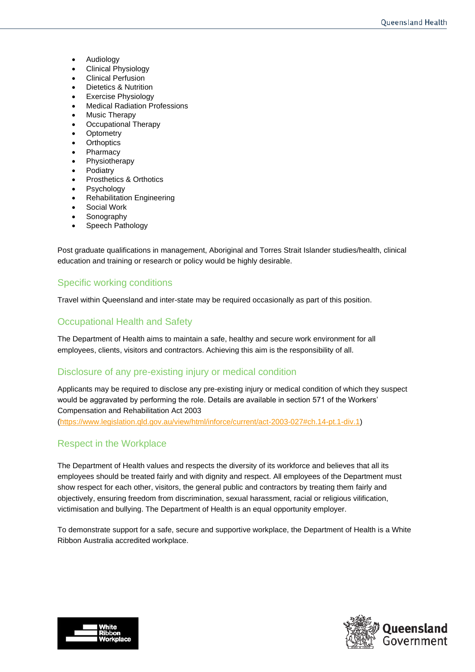- Audiology
- Clinical Physiology
- Clinical Perfusion
- Dietetics & Nutrition
- Exercise Physiology
- **Medical Radiation Professions**
- Music Therapy
- Occupational Therapy
- **Optometry**
- **Orthoptics**
- **Pharmacy**
- **Physiotherapy**
- **Podiatry**
- Prosthetics & Orthotics
- Psychology
- Rehabilitation Engineering
- Social Work
- **Sonography**
- Speech Pathology

Post graduate qualifications in management, Aboriginal and Torres Strait Islander studies/health, clinical education and training or research or policy would be highly desirable.

### Specific working conditions

Travel within Queensland and inter-state may be required occasionally as part of this position.

### Occupational Health and Safety

The Department of Health aims to maintain a safe, healthy and secure work environment for all employees, clients, visitors and contractors. Achieving this aim is the responsibility of all.

### Disclosure of any pre-existing injury or medical condition

Applicants may be required to disclose any pre-existing injury or medical condition of which they suspect would be aggravated by performing the role. Details are available in section 571 of the Workers' Compensation and Rehabilitation Act 2003 [\(https://www.legislation.qld.gov.au/view/html/inforce/current/act-2003-027#ch.14-pt.1-div.1\)](https://www.legislation.qld.gov.au/view/html/inforce/current/act-2003-027#ch.14-pt.1-div.1)

### Respect in the Workplace

The Department of Health values and respects the diversity of its workforce and believes that all its employees should be treated fairly and with dignity and respect. All employees of the Department must show respect for each other, visitors, the general public and contractors by treating them fairly and objectively, ensuring freedom from discrimination, sexual harassment, racial or religious vilification, victimisation and bullying. The Department of Health is an equal opportunity employer.

To demonstrate support for a safe, secure and supportive workplace, the Department of Health is a White Ribbon Australia accredited workplace.